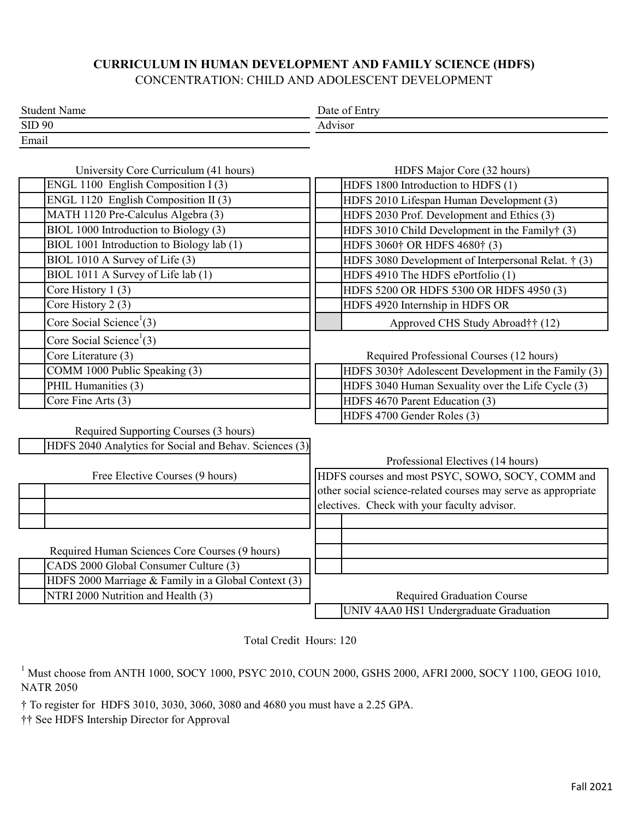## **CURRICULUM IN HUMAN DEVELOPMENT AND FAMILY SCIENCE (HDFS)** CONCENTRATION: CHILD AND ADOLESCENT DEVELOPMENT

| <b>Student Name</b> | Date of<br><b>Lintys</b> |  |
|---------------------|--------------------------|--|
| <b>SID 90</b>       | Advisor                  |  |
| Email               |                          |  |

| University Core Curriculum (41 hours)                  | HDFS Major Core (32 hours)                                    |  |  |  |
|--------------------------------------------------------|---------------------------------------------------------------|--|--|--|
| ENGL 1100 English Composition I (3)                    | HDFS 1800 Introduction to HDFS (1)                            |  |  |  |
| ENGL 1120 English Composition II (3)                   | HDFS 2010 Lifespan Human Development (3)                      |  |  |  |
| MATH 1120 Pre-Calculus Algebra (3)                     | HDFS 2030 Prof. Development and Ethics (3)                    |  |  |  |
| BIOL 1000 Introduction to Biology (3)                  | HDFS 3010 Child Development in the Family† (3)                |  |  |  |
| BIOL 1001 Introduction to Biology lab (1)              | HDFS 3060† OR HDFS 4680† (3)                                  |  |  |  |
| BIOL 1010 A Survey of Life (3)                         | HDFS 3080 Development of Interpersonal Relat. † (3)           |  |  |  |
| BIOL 1011 A Survey of Life lab (1)                     | HDFS 4910 The HDFS ePortfolio (1)                             |  |  |  |
| Core History 1 (3)                                     | HDFS 5200 OR HDFS 5300 OR HDFS 4950 (3)                       |  |  |  |
| Core History 2 (3)                                     | HDFS 4920 Internship in HDFS OR                               |  |  |  |
| Core Social Science <sup>1</sup> (3)                   | Approved CHS Study Abroad†† (12)                              |  |  |  |
| Core Social Science <sup>1</sup> (3)                   |                                                               |  |  |  |
| Core Literature (3)                                    | Required Professional Courses (12 hours)                      |  |  |  |
| COMM 1000 Public Speaking (3)                          | HDFS 3030† Adolescent Development in the Family (3)           |  |  |  |
| PHIL Humanities (3)                                    | HDFS 3040 Human Sexuality over the Life Cycle (3)             |  |  |  |
| Core Fine Arts (3)                                     | HDFS 4670 Parent Education (3)                                |  |  |  |
|                                                        | HDFS 4700 Gender Roles (3)                                    |  |  |  |
| Required Supporting Courses (3 hours)                  |                                                               |  |  |  |
| HDFS 2040 Analytics for Social and Behav. Sciences (3) |                                                               |  |  |  |
|                                                        | Professional Electives (14 hours)                             |  |  |  |
| Free Elective Courses (9 hours)                        | HDFS courses and most PSYC, SOWO, SOCY, COMM and              |  |  |  |
|                                                        | other social science-related courses may serve as appropriate |  |  |  |
|                                                        | electives. Check with your faculty advisor.                   |  |  |  |
|                                                        |                                                               |  |  |  |
|                                                        |                                                               |  |  |  |
| Required Human Sciences Core Courses (9 hours)         |                                                               |  |  |  |
| CADS 2000 Global Consumer Culture (3)                  |                                                               |  |  |  |
| HDFS 2000 Marriage & Family in a Global Context (3)    |                                                               |  |  |  |
| NTRI 2000 Nutrition and Health (3)                     | <b>Required Graduation Course</b>                             |  |  |  |
|                                                        | UNIV 4AA0 HS1 Undergraduate Graduation                        |  |  |  |

Total Credit Hours: 120

 $^1$  Must choose from ANTH 1000, SOCY 1000, PSYC 2010, COUN 2000, GSHS 2000, AFRI 2000, SOCY 1100, GEOG 1010, NATR 2050

† To register for HDFS 3010, 3030, 3060, 3080 and 4680 you must have a 2.25 GPA.

†† See HDFS Intership Director for Approval